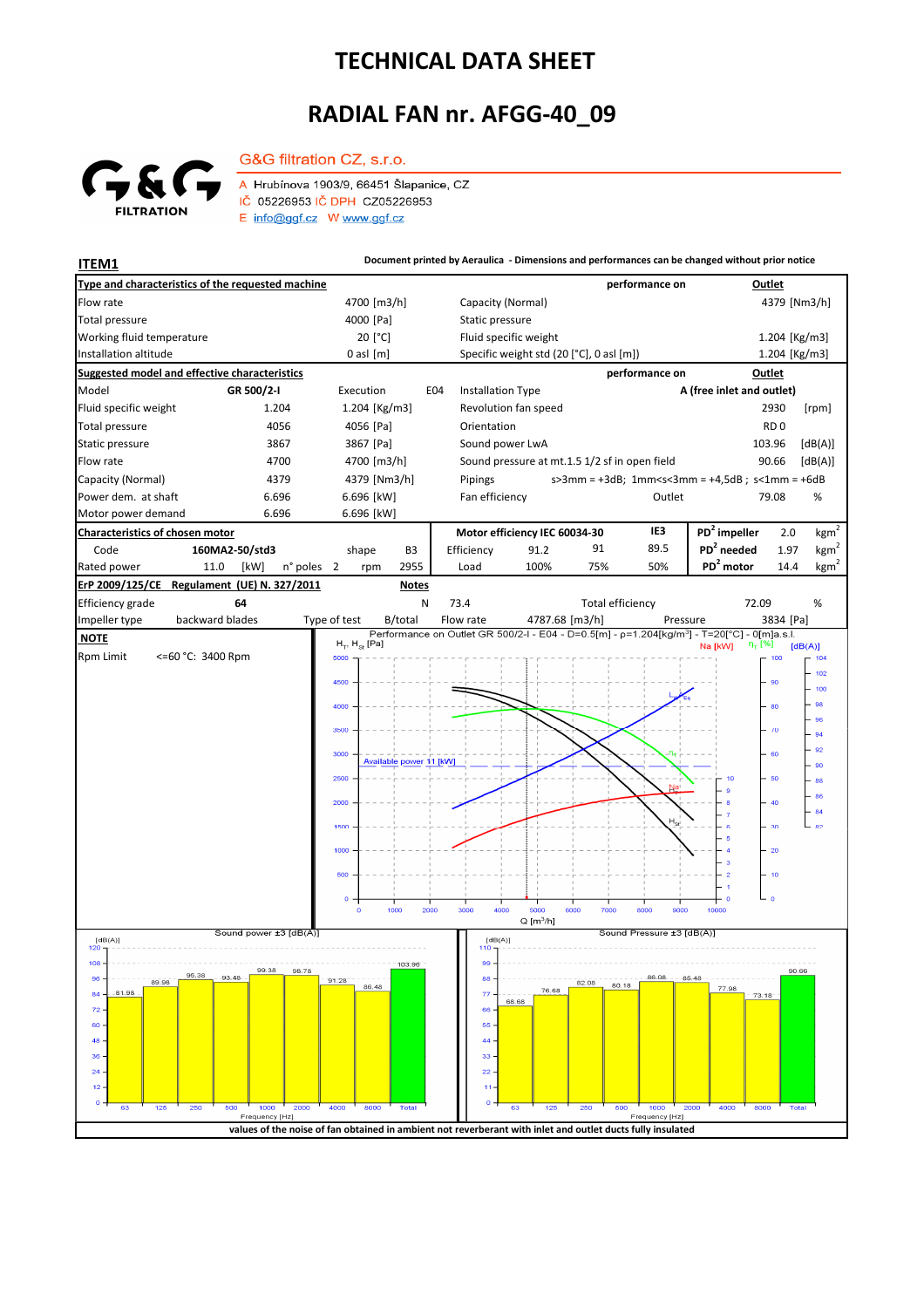## **TECHNICAL DATA SHEET**

## **RADIAL FAN nr. AFGG-40\_09**



G&G filtration CZ, s.r.o.

A Hrubínova 1903/9, 66451 Šlapanice, CZ IČ 05226953 IČ DPH CZ05226953  $E$  info@ggf.cz W www.ggf.cz

**ITEM1 Document printed by Aeraulica** - Dimensions and performances can be changed without prior notice **Type and characteristics of the requested machine performance on Outlet** Capacity (Normal) Flow rate 4700 [m3/h] 4379 [Nm3/h] [Pa] Static pressure Total pressure Working fluid temperature 20<sup>[°</sup>C] Fluid specific weight 1.204 [Kg/m3] Installation altitude 0 asl [m] Specific weight std (20 [°C], 0 asl [m]) Specific weight std (20 [°C], 0 asl [m]) 1.204 [Kg/m3] **Suggested model and effective characteristics performance on Outlet** Model **GR 500/2-I** Execution E04 Installation Type **A (free inlet and outlet)** Fluid specific weight 1.204 1.204 [Kg/m3] Revolution fan speed 2930 [rpm] Total pressure and the 4056 4056 [Pa] Orientation **RD** 0 Static pressure 3867 3867 [Pa] Sound power LwA 103.96 [dB(A)] Flow rate **4700** 4700 4700 [m3/h] Sound pressure at mt.1.5 1/2 sf in open field 90.66 [dB(A)] Capacity (Normal) 4379 4379 [Nm3/h] s>3mm = +3dB; 1mm<s<3mm = +4,5dB ; s<1mm = +6dB Pipings Power dem. at shaft 6.696 6.696 6.696 [kW] Fan efficiency Cutlet 79.08 % 79.08 Motor power demand 6.696 6.696 [kW] **Characteristics of chosen motor Motor efficiency IEC 60034-30 IE3 PD<sup>2</sup> impeller** 2.0  $kgm<sup>2</sup>$ Code **160MA2-50/std3 PD<sup>2</sup> needed** 1.97 shape B3 Efficiency 91.2 91 89.5  $kgm^2$ n° poles 2 rpm 2955 Load 100% 75% 50% **PD<sup>2</sup> motor** 14.4 kgm<sup>2</sup> Rated power 11.0 [kW] 2 2955 Load 100% 75% 50% **PD<sup>2</sup> ErP 2009/125/CE Regulament (UE) N. 327/2011 Notes** 72.09 Efficiency grade **64** N 73.4 Total efficiency 72.09 % backward blades Impeller type backward blades Type of test B/total Flow rate 4787.68 [m3/h] Pressure 3834 [Pa]  **NOTE**  $H<sub>2</sub>$ ,  $H<sub>2</sub>$ , [Pa]  $[dB(A)]$ Rpm Limit <=60 °C: 3400 Rpm 500 100  $102$ 4500 90 100 98 80  $\alpha$ 94 92  $200$ 60 Available power 11 [kW] 90  $250$ 50  $_{88}$  $.86$  $\overline{84}$ k.  $\overline{3}$ 1500  $\overline{20}$ **BOC**  $10$  $1000$  $2000$  $3000$  $rac{1}{2}$  $7000$  $0000$  $0000$  $Q [m^3/h]$ █<br>Sound power ±3 [dB(A)] .<br>Sound Pressure ±3 [dB(A)]  $[dB(A)]$ <br>120 T  $[dB(A)]$  $108$ 103:96 99.38 98.78 95.38 88  $\alpha$ 91.28  $89.91$  $820$ 80.1 77.98 76.68  $\overline{77}$  $\overline{8}$ 81.98 73.18 68.65  $\overline{z}$ 66  $60$ 55  $\overline{AB}$  $44$  $36$ 33  $\overline{2}$  $\overline{22}$  $\overline{1}$  $\mathbf{A}$  $\overline{a}$ Fred y [Hz y [Hz] **values of the noise of fan obtained in ambient not reverberant with inlet and outlet ducts fully insulated**